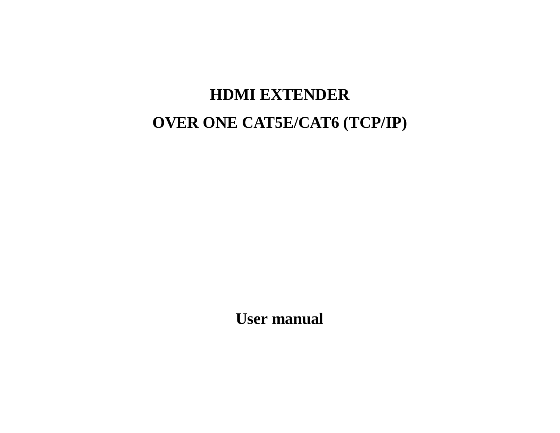# **HDMI EXTENDER OVER ONE CAT5E/CAT6 (TCP/IP)**

**User manual**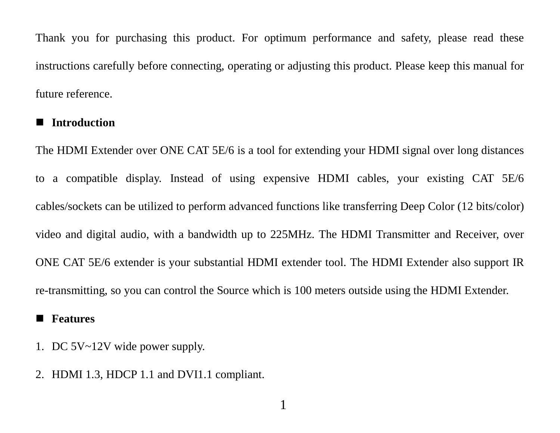Thank you for purchasing this product. For optimum performance and safety, please read these instructions carefully before connecting, operating or adjusting this product. Please keep this manual for future reference.

### **Introduction**

The HDMI Extender over ONE CAT 5E/6 is a tool for extending your HDMI signal over long distances to a compatible display. Instead of using expensive HDMI cables, your existing CAT 5E/6 cables/sockets can be utilized to perform advanced functions like transferring Deep Color (12 bits/color) video and digital audio, with a bandwidth up to 225MHz. The HDMI Transmitter and Receiver, over ONE CAT 5E/6 extender is your substantial HDMI extender tool. The HDMI Extender also support IR re-transmitting, so you can control the Source which is 100 meters outside using the HDMI Extender.

1

#### **Features**

- 1. DC 5V~12V wide power supply.
- 2. HDMI 1.3, HDCP 1.1 and DVI1.1 compliant.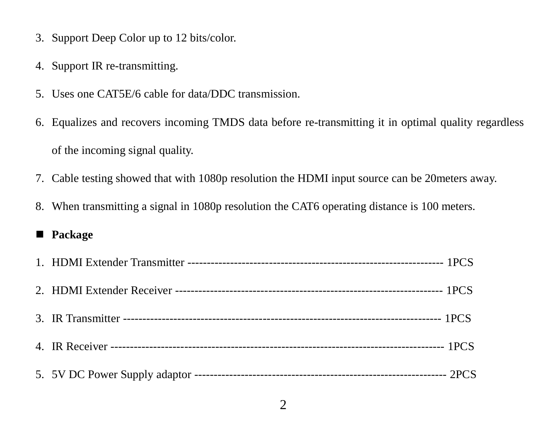- 3. Support Deep Color up to 12 bits/color.
- 4. Support IR re-transmitting.
- 5. Uses one CAT5E/6 cable for data/DDC transmission.
- 6. Equalizes and recovers incoming TMDS data before re-transmitting it in optimal quality regardless of the incoming signal quality.
- 7. Cable testing showed that with 1080p resolution the HDMI input source can be 20meters away.
- 8. When transmitting a signal in 1080p resolution the CAT6 operating distance is 100 meters.

## **Package**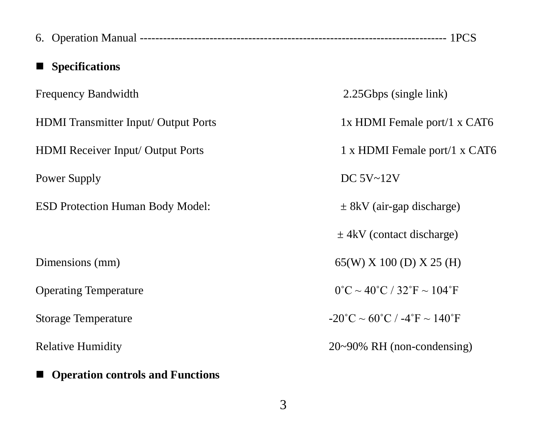| <b>Specifications</b>                |                                                                       |  |  |
|--------------------------------------|-----------------------------------------------------------------------|--|--|
| Frequency Bandwidth                  | 2.25Gbps (single link)                                                |  |  |
| HDMI Transmitter Input/ Output Ports | 1x HDMI Female port/1 x CAT6                                          |  |  |
| HDMI Receiver Input/ Output Ports    | 1 x HDMI Female port/1 x CAT6                                         |  |  |
| Power Supply                         | DC 5V~12V                                                             |  |  |
| ESD Protection Human Body Model:     | $\pm$ 8kV (air-gap discharge)                                         |  |  |
|                                      | $\pm$ 4kV (contact discharge)                                         |  |  |
| Dimensions (mm)                      | 65(W) X 100 (D) X 25 (H)                                              |  |  |
| <b>Operating Temperature</b>         | $0^{\circ}$ C ~ 40 $^{\circ}$ C / 32 $^{\circ}$ F ~ 104 $^{\circ}$ F  |  |  |
| Storage Temperature                  | $-20^{\circ}$ C ~ 60 $^{\circ}$ C / $-4^{\circ}$ F ~ 140 $^{\circ}$ F |  |  |
| <b>Relative Humidity</b>             | $20~90\%$ RH (non-condensing)                                         |  |  |
| ■ Operation controls and Functions   |                                                                       |  |  |

3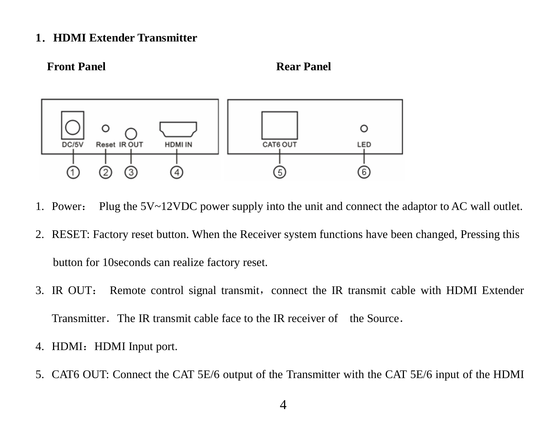#### **1**.**HDMI Extender Transmitter**





- 1. Power: Plug the 5V~12VDC power supply into the unit and connect the adaptor to AC wall outlet.
- 2. RESET: Factory reset button. When the Receiver system functions have been changed, Pressing this button for 10seconds can realize factory reset.
- 3. IR OUT: Remote control signal transmit, connect the IR transmit cable with HDMI Extender Transmitter. The IR transmit cable face to the IR receiver of the Source.
- 4. HDMI: HDMI Input port.
- 5. CAT6 OUT: Connect the CAT 5E/6 output of the Transmitter with the CAT 5E/6 input of the HDMI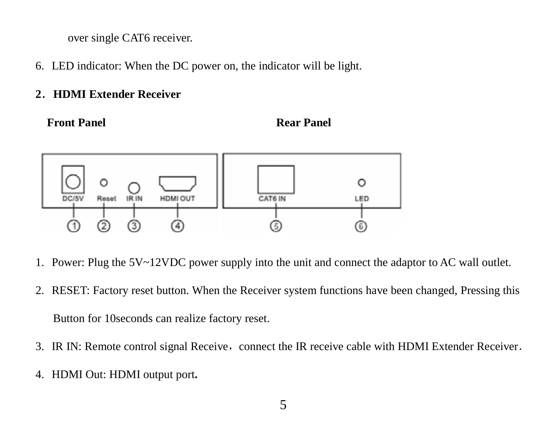over single CAT6 receiver.

6. LED indicator: When the DC power on, the indicator will be light.

## **2**.**HDMI Extender Receiver**

**Front Panel Rear Panel Rear Panel** 



- 1. Power: Plug the 5V~12VDC power supply into the unit and connect the adaptor to AC wall outlet.
- 2. RESET: Factory reset button. When the Receiver system functions have been changed, Pressing this Button for 10seconds can realize factory reset.
- 3. IR IN: Remote control signal Receive, connect the IR receive cable with HDMI Extender Receiver.
- 4. HDMI Out: HDMI output port**.**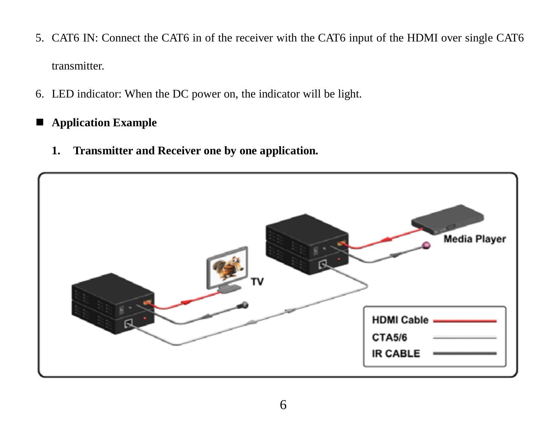- 5. CAT6 IN: Connect the CAT6 in of the receiver with the CAT6 input of the HDMI over single CAT6 transmitter.
- 6. LED indicator: When the DC power on, the indicator will be light.
- **Application Example**
	- **1. Transmitter and Receiver one by one application.**